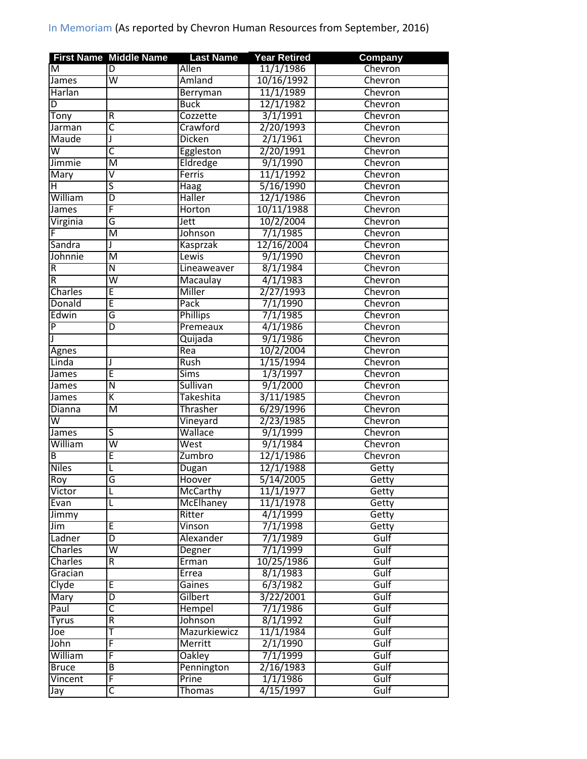|                         | <b>First Name Middle Name</b> | <b>Last Name</b> | <b>Year Retired</b> | Company |
|-------------------------|-------------------------------|------------------|---------------------|---------|
| M                       | D                             | Allen            | 11/1/1986           | Chevron |
| James                   | $\overline{\mathsf{w}}$       | Amland           | 10/16/1992          | Chevron |
| Harlan                  |                               | Berryman         | 11/1/1989           | Chevron |
| D                       |                               | <b>Buck</b>      | 12/1/1982           | Chevron |
| Tony                    | $\overline{R}$                | Cozzette         | 3/1/1991            | Chevron |
| Jarman                  | C                             | Crawford         | 2/20/1993           | Chevron |
| Maude                   |                               | <b>Dicken</b>    | 2/1/1961            | Chevron |
| $\overline{\mathsf{w}}$ | C                             | Eggleston        | 2/20/1991           | Chevron |
| Jimmie                  | M                             | Eldredge         | 9/1/1990            | Chevron |
| Mary                    | V                             | Ferris           | 11/1/1992           | Chevron |
| н                       | ς                             | <b>Haag</b>      | 5/16/1990           | Chevron |
| William                 | D                             | <b>Haller</b>    | 12/1/1986           | Chevron |
| James                   | F                             | <b>Horton</b>    | 10/11/1988          | Chevron |
| Virginia                | G                             | Jett             | 10/2/2004           | Chevron |
|                         | $\overline{\mathsf{M}}$       | Johnson          | 7/1/1985            | Chevron |
| Sandra                  |                               | Kasprzak         | 12/16/2004          | Chevron |
| Johnnie                 | M                             | Lewis            | 9/1/1990            | Chevron |
| $\overline{R}$          | Ñ                             | Lineaweaver      | 8/1/1984            | Chevron |
| $\overline{R}$          | $\overline{\mathsf{w}}$       | Macaulay         | 4/1/1983            | Chevron |
| Charles                 | Ē                             | Miller           | 2/27/1993           | Chevron |
| Donald                  | Ē                             | Pack             | 7/1/1990            | Chevron |
| Edwin                   | G                             | <b>Phillips</b>  | 7/1/1985            | Chevron |
| $\overline{\mathsf{P}}$ | D                             | Premeaux         | 4/1/1986            | Chevron |
| J                       |                               |                  | 9/1/1986            | Chevron |
|                         |                               | Quijada<br>Rea   | 10/2/2004           | Chevron |
| <b>Agnes</b>            |                               |                  |                     |         |
| Linda                   | Ē                             | Rush             | 1/15/1994           | Chevron |
| James                   |                               | <b>Sims</b>      | 1/3/1997            | Chevron |
| James                   | Ñ                             | Sullivan         | 9/1/2000            | Chevron |
| James                   | K                             | Takeshita        | 3/11/1985           | Chevron |
| Dianna                  | $\overline{\mathsf{M}}$       | <b>Thrasher</b>  | 6/29/1996           | Chevron |
| $\overline{\mathsf{w}}$ |                               | Vineyard         | 2/23/1985           | Chevron |
| James                   | $\overline{\mathsf{s}}$       | Wallace          | 9/1/1999            | Chevron |
| William                 | $\overline{\mathsf{w}}$       | West             | 9/1/1984            | Chevron |
| B                       | E                             | Zumbro           | 12/1/1986           | Chevron |
| <b>Niles</b>            | L                             | Dugan            | 12/1/1988           | Getty   |
| Roy                     | G                             | Hoover           | 5/14/2005           | Getty   |
| Victor                  | L                             | McCarthy         | 11/1/1977           | Getty   |
| Evan                    | L                             | McElhaney        | 11/1/1978           | Getty   |
| Jimmy                   |                               | Ritter           | 4/1/1999            | Getty   |
| Jim                     | E                             | <b>Vinson</b>    | 7/1/1998            | Getty   |
| Ladner                  | D                             | Alexander        | 7/1/1989            | Gulf    |
| Charles                 | $\overline{\mathsf{w}}$       | Degner           | 7/1/1999            | Gulf    |
| Charles                 | $\overline{R}$                | Erman            | 10/25/1986          | Gulf    |
| Gracian                 |                               | Errea            | 8/1/1983            | Gulf    |
| Clyde                   | Ē                             | Gaines           | 6/3/1982            | Gulf    |
| Mary                    | $\overline{\mathsf{D}}$       | Gilbert          | 3/22/2001           | Gulf    |
| Paul                    | $\overline{\mathsf{C}}$       | Hempel           | 7/1/1986            | Gulf    |
| <b>Tyrus</b>            | R                             | Johnson          | 8/1/1992            | Gulf    |
| Joe                     | T                             | Mazurkiewicz     | 11/1/1984           | Gulf    |
| John                    | F                             | Merritt          | 2/1/1990            | Gulf    |
| William                 | F                             | <b>Oakley</b>    | 7/1/1999            | Gulf    |
| <b>Bruce</b>            | $\overline{B}$                | Pennington       | 2/16/1983           | Gulf    |
| Vincent                 | F                             | Prine            | 1/1/1986            | Gulf    |
| Jay                     | C                             | <b>Thomas</b>    | 4/15/1997           | Gulf    |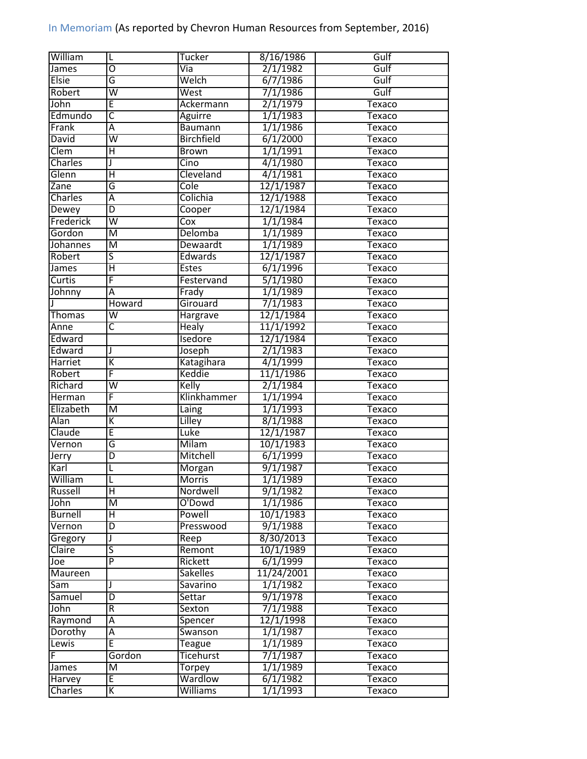| William        | $\mathsf{L}$            | Tucker                  | 8/16/1986             | Gulf          |
|----------------|-------------------------|-------------------------|-----------------------|---------------|
| James          | $\overline{0}$          | Via                     | 2/1/1982              | Gulf          |
| <b>Elsie</b>   | G                       | Welch                   | 6/7/1986              | Gulf          |
| Robert         | $\overline{\mathsf{w}}$ | West                    | 7/1/1986              | Gulf          |
| John           | Ē                       | Ackermann               | 2/1/1979              | Texaco        |
| Edmundo        | $\overline{\mathsf{C}}$ | Aguirre                 | 1/1/1983              | Texaco        |
| Frank          | Ā                       | <b>Baumann</b>          | 1/1/1986              | Texaco        |
| David          | $\overline{\mathsf{w}}$ | <b>Birchfield</b>       | 6/1/2000              | Texaco        |
| Clem           | Ή                       | <b>Brown</b>            | 1/1/1991              | Texaco        |
| Charles        | J                       | Cino                    | 4/1/1980              | Texaco        |
| Glenn          | $\overline{\mathsf{H}}$ | Cleveland               | 4/1/1981              | Texaco        |
| Zane           | G                       | Cole                    | 12/1/1987             | Texaco        |
| Charles        | Ā                       | Colichia                | 12/1/1988             | Texaco        |
| Dewey          | $\overline{D}$          | Cooper                  | 12/1/1984             | Texaco        |
| Frederick      | $\overline{\mathsf{w}}$ | $\overline{\text{Cox}}$ | 1/1/1984              | <b>Texaco</b> |
| Gordon         | $\overline{M}$          | Delomba                 | 1/1/1989              | Texaco        |
| Johannes       | $\overline{\mathsf{M}}$ | Dewaardt                | 1/1/1989              | <b>Texaco</b> |
| Robert         | ड                       | Edwards                 | 12/1/1987             | <b>Texaco</b> |
| James          | $\overline{\mathsf{H}}$ | <b>Estes</b>            | 6/1/1996              | Texaco        |
| Curtis         | F                       | Festervand              | 5/1/1980              | Texaco        |
| Johnny         | $\overline{\mathsf{A}}$ | Frady                   | 1/1/1989              | <b>Texaco</b> |
|                | Howard                  | Girouard                | 7/1/1983              | Texaco        |
|                | W                       |                         | 12/1/1984             |               |
| Thomas         | $\overline{\mathsf{c}}$ | Hargrave                | 11/1/1992             | Texaco        |
| Anne           |                         | <b>Healy</b>            |                       | Texaco        |
| Edward         |                         | Isedore                 | 12/1/1984             | Texaco        |
| Edward         | J                       | Joseph                  | 2/1/1983              | <b>Texaco</b> |
| Harriet        | К                       | Katagihara              | 4/1/1999              | <b>Texaco</b> |
| Robert         | F                       | Keddie                  | 11/1/1986             | Texaco        |
| Richard        | $\overline{\mathsf{w}}$ | Kelly                   | 2/1/1984              | Texaco        |
| Herman         | F                       | Klinkhammer             | 1/1/1994              | Texaco        |
| Elizabeth      | $\overline{\mathsf{M}}$ | Laing                   | 1/1/1993              | <b>Texaco</b> |
| Alan           | К                       | Lilley                  | 8/1/1988              | Texaco        |
| Claude         | Ē                       | Luke                    | 12/1/1987             | <b>Texaco</b> |
| Vernon         | G                       | <b>Milam</b>            | 10/1/1983             | Texaco        |
| Jerry          | D                       | Mitchell                | 6/1/1999              | Texaco        |
| Karl           | L                       | Morgan                  | 9/1/1987              | Texaco        |
| William        |                         | <b>Morris</b>           | $1/\overline{1/1989}$ | Texaco        |
| Russell        | $\overline{\mathsf{H}}$ | Nordwell                | 9/1/1982              | Texaco        |
| John           | $\overline{\mathsf{M}}$ | O'Dowd                  | 1/1/1986              | Texaco        |
| <b>Burnell</b> | $\overline{\mathsf{H}}$ | Powell                  | 10/1/1983             | Texaco        |
| Vernon         | $\overline{D}$          | Presswood               | 9/1/1988              | Texaco        |
| Gregory        | J                       | Reep                    | 8/30/2013             | Texaco        |
| Claire         | ऽ                       | Remont                  | 10/1/1989             | Texaco        |
| Joe            | $\overline{P}$          | Rickett                 | 6/1/1999              | Texaco        |
| Maureen        |                         | <b>Sakelles</b>         | 11/24/2001            | Texaco        |
| Sam            | J                       | Savarino                | 1/1/1982              | Texaco        |
| Samuel         | $\overline{D}$          | Settar                  | 9/1/1978              | Texaco        |
| John           | $\overline{R}$          | Sexton                  | 7/1/1988              | Texaco        |
| Raymond        | Ā                       | Spencer                 | 12/1/1998             | Texaco        |
| Dorothy        | Α                       | Swanson                 | 1/1/1987              | Texaco        |
| Lewis          | E                       | Teague                  | 1/1/1989              | <b>Texaco</b> |
| F              | Gordon                  | <b>Ticehurst</b>        | 7/1/1987              | Texaco        |
| James          | M                       | Torpey                  | 1/1/1989              | Texaco        |
| Harvey         | E                       | Wardlow                 | 6/1/1982              | Texaco        |
| Charles        | $\overline{\mathsf{K}}$ | Williams                | 1/1/1993              | Texaco        |